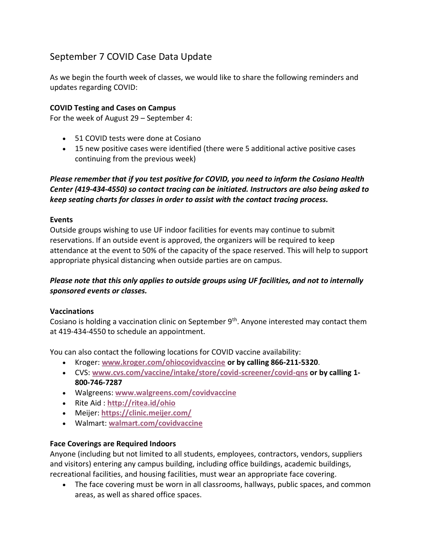# September 7 COVID Case Data Update

As we begin the fourth week of classes, we would like to share the following reminders and updates regarding COVID:

## **COVID Testing and Cases on Campus**

For the week of August 29 – September 4:

- 51 COVID tests were done at Cosiano
- 15 new positive cases were identified (there were 5 additional active positive cases continuing from the previous week)

# *Please remember that if you test positive for COVID, you need to inform the Cosiano Health Center (419-434-4550) so contact tracing can be initiated. Instructors are also being asked to keep seating charts for classes in order to assist with the contact tracing process.*

### **Events**

Outside groups wishing to use UF indoor facilities for events may continue to submit reservations. If an outside event is approved, the organizers will be required to keep attendance at the event to 50% of the capacity of the space reserved. This will help to support appropriate physical distancing when outside parties are on campus.

# *Please note that this only applies to outside groups using UF facilities, and not to internally sponsored events or classes.*

### **Vaccinations**

Cosiano is holding a vaccination clinic on September 9<sup>th</sup>. Anyone interested may contact them at 419-434-4550 to schedule an appointment.

You can also contact the following locations for COVID vaccine availability:

- Kroger: **[www.kroger.com/ohiocovidvaccine](http://www.kroger.com/ohiocovidvaccine) or by calling 866-211-5320**.
- CVS: **[www.cvs.com/vaccine/intake/store/covid-screener/covid-qns](https://www.cvs.com/vaccine/intake/store/covid-screener/covid-qns) or by calling 1- 800-746-7287**
- Walgreens: **[www.walgreens.com/covidvaccine](https://www.walgreens.com/covidvaccine)**
- Rite Aid : **<http://ritea.id/ohio>**
- Meijer: **<https://clinic.meijer.com/>**
- Walmart: **[walmart.com/covidvaccine](http://walmart.com/covidvaccine)**

### **Face Coverings are Required Indoors**

Anyone (including but not limited to all students, employees, contractors, vendors, suppliers and visitors) entering any campus building, including office buildings, academic buildings, recreational facilities, and housing facilities, must wear an appropriate face covering.

• The face covering must be worn in all classrooms, hallways, public spaces, and common areas, as well as shared office spaces.